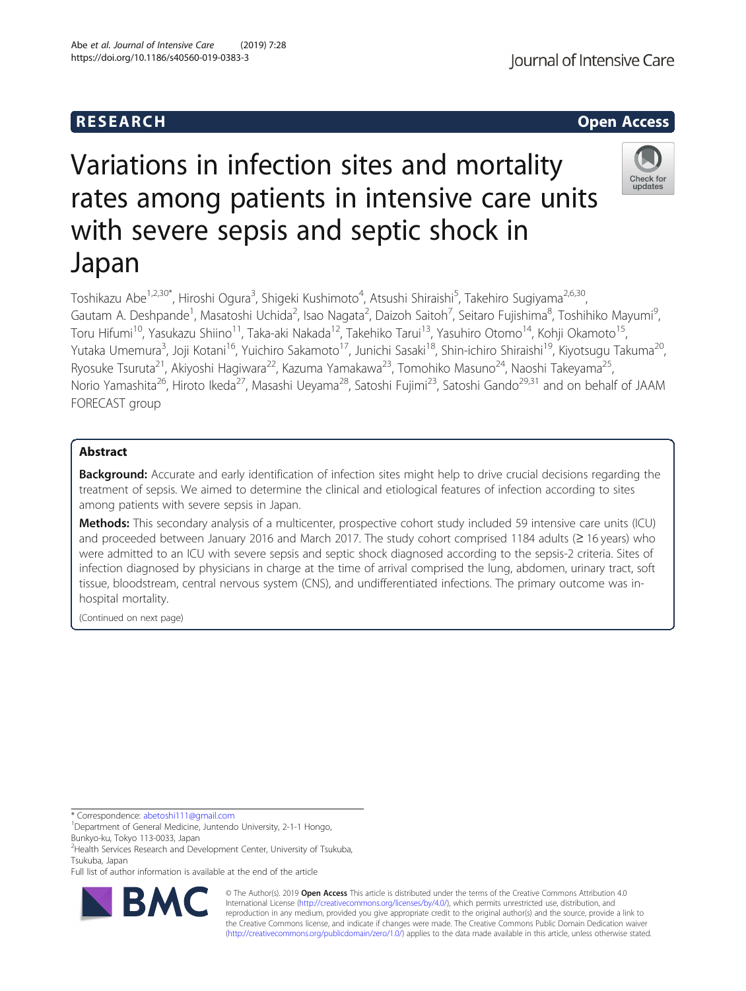# Variations in infection sites and mortality rates among patients in intensive care units with severe sepsis and septic shock in

Toshikazu Abe<sup>1,2,30\*</sup>, Hiroshi Ogura<sup>3</sup>, Shigeki Kushimoto<sup>4</sup>, Atsushi Shiraishi<sup>5</sup>, Takehiro Sugiyama<sup>2,6,30</sup>, Gautam A. Deshpande<sup>1</sup>, Masatoshi Uchida<sup>2</sup>, Isao Nagata<sup>2</sup>, Daizoh Saitoh<sup>7</sup>, Seitaro Fujishima<sup>8</sup>, Toshihiko Mayumi<sup>s</sup> , Toru Hifumi<sup>10</sup>, Yasukazu Shiino<sup>11</sup>, Taka-aki Nakada<sup>12</sup>, Takehiko Tarui<sup>13</sup>, Yasuhiro Otomo<sup>14</sup>, Kohji Okamoto<sup>15</sup>, Yutaka Umemura<sup>3</sup>, Joji Kotani<sup>16</sup>, Yuichiro Sakamoto<sup>17</sup>, Junichi Sasaki<sup>18</sup>, Shin-ichiro Shiraishi<sup>19</sup>, Kiyotsugu Takuma<sup>20</sup>, Ryosuke Tsuruta<sup>21</sup>, Akiyoshi Hagiwara<sup>22</sup>, Kazuma Yamakawa<sup>23</sup>, Tomohiko Masuno<sup>24</sup>, Naoshi Takeyama<sup>25</sup>, Norio Yamashita<sup>26</sup>, Hiroto Ikeda<sup>27</sup>, Masashi Ueyama<sup>28</sup>, Satoshi Fujimi<sup>23</sup>, Satoshi Gando<sup>29,31</sup> and on behalf of JAAM FORECAST group

## Abstract

Japan

**Background:** Accurate and early identification of infection sites might help to drive crucial decisions regarding the treatment of sepsis. We aimed to determine the clinical and etiological features of infection according to sites among patients with severe sepsis in Japan.

Methods: This secondary analysis of a multicenter, prospective cohort study included 59 intensive care units (ICU) and proceeded between January 2016 and March 2017. The study cohort comprised 1184 adults (≥ 16 years) who were admitted to an ICU with severe sepsis and septic shock diagnosed according to the sepsis-2 criteria. Sites of infection diagnosed by physicians in charge at the time of arrival comprised the lung, abdomen, urinary tract, soft tissue, bloodstream, central nervous system (CNS), and undifferentiated infections. The primary outcome was inhospital mortality.

(Continued on next page)

\* Correspondence: [abetoshi111@gmail.com](mailto:abetoshi111@gmail.com) <sup>1</sup>

<sup>1</sup>Department of General Medicine, Juntendo University, 2-1-1 Hongo, Bunkyo-ku, Tokyo 113-0033, Japan

<sup>2</sup> Health Services Research and Development Center, University of Tsukuba, Tsukuba, Japan

Full list of author information is available at the end of the article



© The Author(s). 2019 **Open Access** This article is distributed under the terms of the Creative Commons Attribution 4.0 International License [\(http://creativecommons.org/licenses/by/4.0/](http://creativecommons.org/licenses/by/4.0/)), which permits unrestricted use, distribution, and reproduction in any medium, provided you give appropriate credit to the original author(s) and the source, provide a link to the Creative Commons license, and indicate if changes were made. The Creative Commons Public Domain Dedication waiver [\(http://creativecommons.org/publicdomain/zero/1.0/](http://creativecommons.org/publicdomain/zero/1.0/)) applies to the data made available in this article, unless otherwise stated.



# **RESEARCH CHEAR CHEAR CHEAR CHEAR CHEAR CHEAR CHEAR CHEAR CHEAR CHEAR CHEAR CHEAR CHEAR CHEAR CHEAR CHEAR CHEAR**

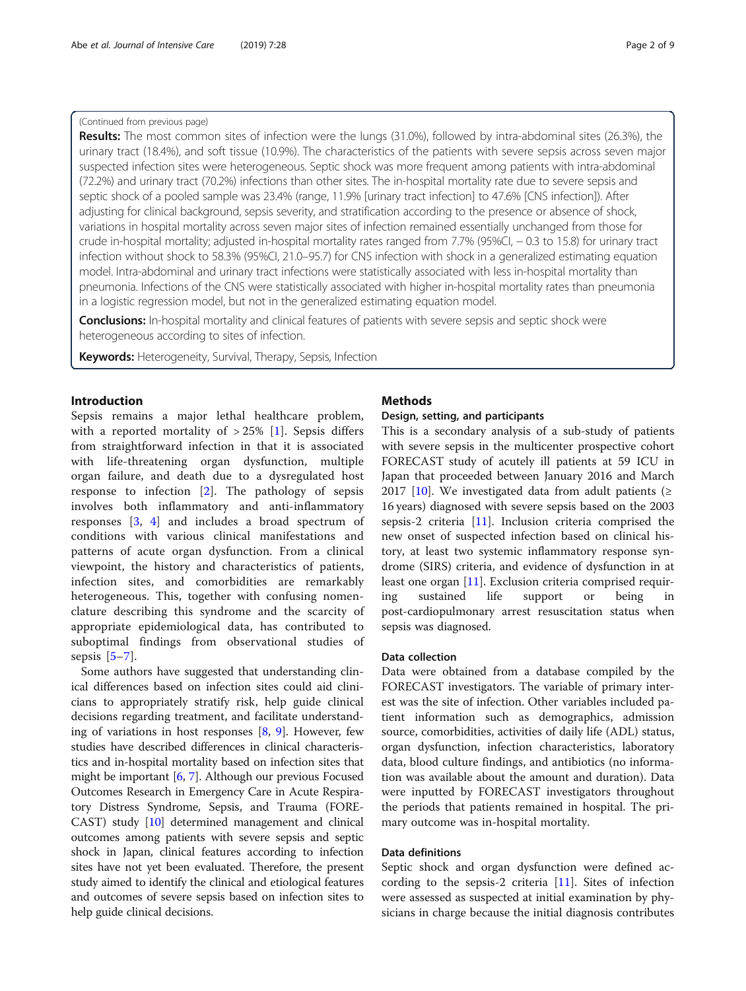#### (Continued from previous page)

Results: The most common sites of infection were the lungs (31.0%), followed by intra-abdominal sites (26.3%), the urinary tract (18.4%), and soft tissue (10.9%). The characteristics of the patients with severe sepsis across seven major suspected infection sites were heterogeneous. Septic shock was more frequent among patients with intra-abdominal (72.2%) and urinary tract (70.2%) infections than other sites. The in-hospital mortality rate due to severe sepsis and septic shock of a pooled sample was 23.4% (range, 11.9% [urinary tract infection] to 47.6% [CNS infection]). After adjusting for clinical background, sepsis severity, and stratification according to the presence or absence of shock, variations in hospital mortality across seven major sites of infection remained essentially unchanged from those for crude in-hospital mortality; adjusted in-hospital mortality rates ranged from 7.7% (95%CI, − 0.3 to 15.8) for urinary tract infection without shock to 58.3% (95%CI, 21.0–95.7) for CNS infection with shock in a generalized estimating equation model. Intra-abdominal and urinary tract infections were statistically associated with less in-hospital mortality than pneumonia. Infections of the CNS were statistically associated with higher in-hospital mortality rates than pneumonia in a logistic regression model, but not in the generalized estimating equation model.

**Conclusions:** In-hospital mortality and clinical features of patients with severe sepsis and septic shock were heterogeneous according to sites of infection.

Keywords: Heterogeneity, Survival, Therapy, Sepsis, Infection

#### Introduction

Sepsis remains a major lethal healthcare problem, with a reported mortality of  $>$  25% [[1\]](#page-8-0). Sepsis differs from straightforward infection in that it is associated with life-threatening organ dysfunction, multiple organ failure, and death due to a dysregulated host response to infection [[2\]](#page-8-0). The pathology of sepsis involves both inflammatory and anti-inflammatory responses [[3,](#page-8-0) [4\]](#page-8-0) and includes a broad spectrum of conditions with various clinical manifestations and patterns of acute organ dysfunction. From a clinical viewpoint, the history and characteristics of patients, infection sites, and comorbidities are remarkably heterogeneous. This, together with confusing nomenclature describing this syndrome and the scarcity of appropriate epidemiological data, has contributed to suboptimal findings from observational studies of sepsis  $[5-7]$  $[5-7]$  $[5-7]$  $[5-7]$ .

Some authors have suggested that understanding clinical differences based on infection sites could aid clinicians to appropriately stratify risk, help guide clinical decisions regarding treatment, and facilitate understanding of variations in host responses  $[8, 9]$  $[8, 9]$  $[8, 9]$  $[8, 9]$ . However, few studies have described differences in clinical characteristics and in-hospital mortality based on infection sites that might be important [\[6,](#page-8-0) [7\]](#page-8-0). Although our previous Focused Outcomes Research in Emergency Care in Acute Respiratory Distress Syndrome, Sepsis, and Trauma (FORE-CAST) study [[10](#page-8-0)] determined management and clinical outcomes among patients with severe sepsis and septic shock in Japan, clinical features according to infection sites have not yet been evaluated. Therefore, the present study aimed to identify the clinical and etiological features and outcomes of severe sepsis based on infection sites to help guide clinical decisions.

#### **Methods**

#### Design, setting, and participants

This is a secondary analysis of a sub-study of patients with severe sepsis in the multicenter prospective cohort FORECAST study of acutely ill patients at 59 ICU in Japan that proceeded between January 2016 and March 2017 [[10](#page-8-0)]. We investigated data from adult patients ( $\geq$ 16 years) diagnosed with severe sepsis based on the 2003 sepsis-2 criteria [[11](#page-8-0)]. Inclusion criteria comprised the new onset of suspected infection based on clinical history, at least two systemic inflammatory response syndrome (SIRS) criteria, and evidence of dysfunction in at least one organ [\[11\]](#page-8-0). Exclusion criteria comprised requiring sustained life support or being in post-cardiopulmonary arrest resuscitation status when sepsis was diagnosed.

#### Data collection

Data were obtained from a database compiled by the FORECAST investigators. The variable of primary interest was the site of infection. Other variables included patient information such as demographics, admission source, comorbidities, activities of daily life (ADL) status, organ dysfunction, infection characteristics, laboratory data, blood culture findings, and antibiotics (no information was available about the amount and duration). Data were inputted by FORECAST investigators throughout the periods that patients remained in hospital. The primary outcome was in-hospital mortality.

#### Data definitions

Septic shock and organ dysfunction were defined according to the sepsis-2 criteria  $[11]$  $[11]$ . Sites of infection were assessed as suspected at initial examination by physicians in charge because the initial diagnosis contributes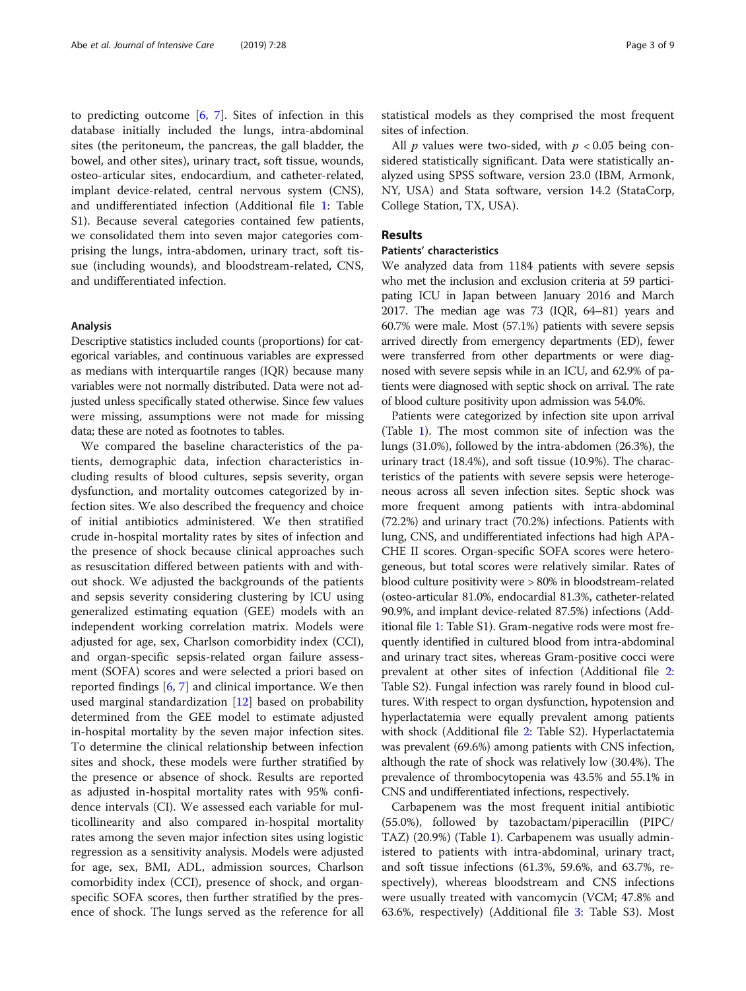to predicting outcome  $[6, 7]$  $[6, 7]$  $[6, 7]$ . Sites of infection in this database initially included the lungs, intra-abdominal sites (the peritoneum, the pancreas, the gall bladder, the bowel, and other sites), urinary tract, soft tissue, wounds, osteo-articular sites, endocardium, and catheter-related, implant device-related, central nervous system (CNS), and undifferentiated infection (Additional file [1](#page-6-0): Table S1). Because several categories contained few patients, we consolidated them into seven major categories comprising the lungs, intra-abdomen, urinary tract, soft tissue (including wounds), and bloodstream-related, CNS, and undifferentiated infection.

#### Analysis

Descriptive statistics included counts (proportions) for categorical variables, and continuous variables are expressed as medians with interquartile ranges (IQR) because many variables were not normally distributed. Data were not adjusted unless specifically stated otherwise. Since few values were missing, assumptions were not made for missing data; these are noted as footnotes to tables.

We compared the baseline characteristics of the patients, demographic data, infection characteristics including results of blood cultures, sepsis severity, organ dysfunction, and mortality outcomes categorized by infection sites. We also described the frequency and choice of initial antibiotics administered. We then stratified crude in-hospital mortality rates by sites of infection and the presence of shock because clinical approaches such as resuscitation differed between patients with and without shock. We adjusted the backgrounds of the patients and sepsis severity considering clustering by ICU using generalized estimating equation (GEE) models with an independent working correlation matrix. Models were adjusted for age, sex, Charlson comorbidity index (CCI), and organ-specific sepsis-related organ failure assessment (SOFA) scores and were selected a priori based on reported findings [[6,](#page-8-0) [7\]](#page-8-0) and clinical importance. We then used marginal standardization [[12\]](#page-8-0) based on probability determined from the GEE model to estimate adjusted in-hospital mortality by the seven major infection sites. To determine the clinical relationship between infection sites and shock, these models were further stratified by the presence or absence of shock. Results are reported as adjusted in-hospital mortality rates with 95% confidence intervals (CI). We assessed each variable for multicollinearity and also compared in-hospital mortality rates among the seven major infection sites using logistic regression as a sensitivity analysis. Models were adjusted for age, sex, BMI, ADL, admission sources, Charlson comorbidity index (CCI), presence of shock, and organspecific SOFA scores, then further stratified by the presence of shock. The lungs served as the reference for all statistical models as they comprised the most frequent sites of infection.

All  $p$  values were two-sided, with  $p < 0.05$  being considered statistically significant. Data were statistically analyzed using SPSS software, version 23.0 (IBM, Armonk, NY, USA) and Stata software, version 14.2 (StataCorp, College Station, TX, USA).

#### Results

#### Patients' characteristics

We analyzed data from 1184 patients with severe sepsis who met the inclusion and exclusion criteria at 59 participating ICU in Japan between January 2016 and March 2017. The median age was 73 (IQR, 64–81) years and 60.7% were male. Most (57.1%) patients with severe sepsis arrived directly from emergency departments (ED), fewer were transferred from other departments or were diagnosed with severe sepsis while in an ICU, and 62.9% of patients were diagnosed with septic shock on arrival. The rate of blood culture positivity upon admission was 54.0%.

Patients were categorized by infection site upon arrival (Table [1](#page-3-0)). The most common site of infection was the lungs (31.0%), followed by the intra-abdomen (26.3%), the urinary tract (18.4%), and soft tissue (10.9%). The characteristics of the patients with severe sepsis were heterogeneous across all seven infection sites. Septic shock was more frequent among patients with intra-abdominal (72.2%) and urinary tract (70.2%) infections. Patients with lung, CNS, and undifferentiated infections had high APA-CHE II scores. Organ-specific SOFA scores were heterogeneous, but total scores were relatively similar. Rates of blood culture positivity were > 80% in bloodstream-related (osteo-articular 81.0%, endocardial 81.3%, catheter-related 90.9%, and implant device-related 87.5%) infections (Additional file [1:](#page-6-0) Table S1). Gram-negative rods were most frequently identified in cultured blood from intra-abdominal and urinary tract sites, whereas Gram-positive cocci were prevalent at other sites of infection (Additional file [2](#page-7-0): Table S2). Fungal infection was rarely found in blood cultures. With respect to organ dysfunction, hypotension and hyperlactatemia were equally prevalent among patients with shock (Additional file [2:](#page-7-0) Table S2). Hyperlactatemia was prevalent (69.6%) among patients with CNS infection, although the rate of shock was relatively low (30.4%). The prevalence of thrombocytopenia was 43.5% and 55.1% in CNS and undifferentiated infections, respectively.

Carbapenem was the most frequent initial antibiotic (55.0%), followed by tazobactam/piperacillin (PIPC/ TAZ) (20.9%) (Table [1](#page-3-0)). Carbapenem was usually administered to patients with intra-abdominal, urinary tract, and soft tissue infections (61.3%, 59.6%, and 63.7%, respectively), whereas bloodstream and CNS infections were usually treated with vancomycin (VCM; 47.8% and 63.6%, respectively) (Additional file [3:](#page-7-0) Table S3). Most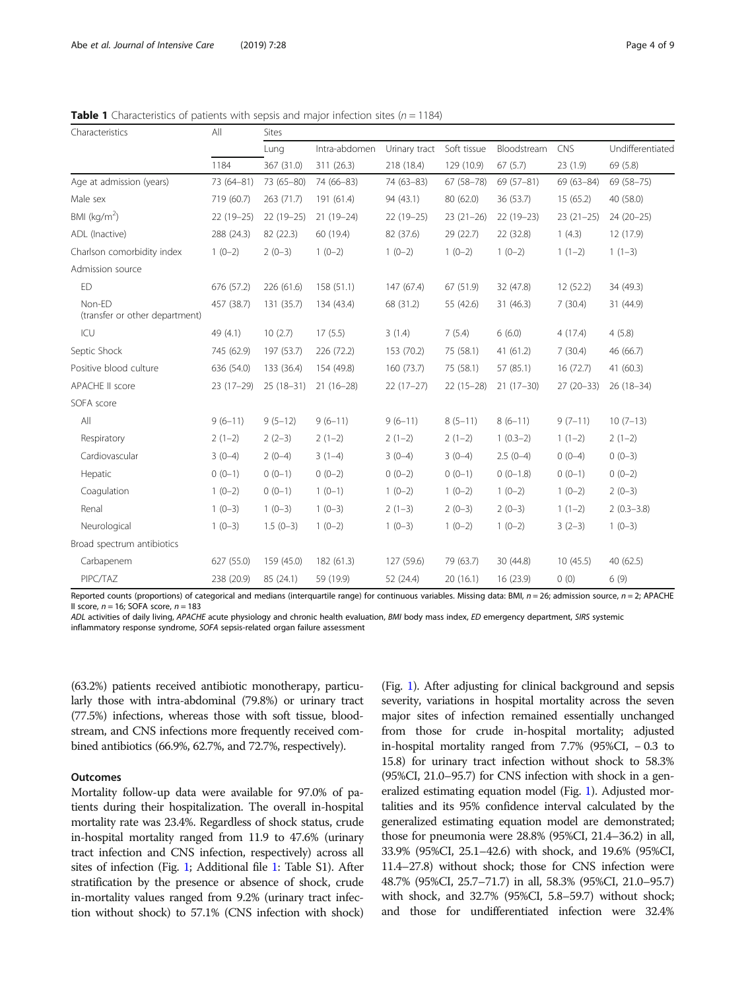<span id="page-3-0"></span>**Table 1** Characteristics of patients with sepsis and major infection sites ( $n = 1184$ )

| Characteristics                          | All<br>1184 | <b>Sites</b>       |                             |                             |                           |                        |                 |                              |
|------------------------------------------|-------------|--------------------|-----------------------------|-----------------------------|---------------------------|------------------------|-----------------|------------------------------|
|                                          |             | Lung<br>367 (31.0) | Intra-abdomen<br>311 (26.3) | Urinary tract<br>218 (18.4) | Soft tissue<br>129 (10.9) | Bloodstream<br>67(5.7) | CNS<br>23 (1.9) | Undifferentiated<br>69 (5.8) |
|                                          |             |                    |                             |                             |                           |                        |                 |                              |
| Male sex                                 | 719 (60.7)  | 263 (71.7)         | 191 (61.4)                  | 94 (43.1)                   | 80 (62.0)                 | 36 (53.7)              | 15(65.2)        | 40 (58.0)                    |
| BMI ( $kg/m2$ )                          | $22(19-25)$ | $22(19-25)$        | $21(19-24)$                 | $22(19-25)$                 | $23(21-26)$               | $22(19-23)$            | $23(21-25)$     | $24(20-25)$                  |
| ADL (Inactive)                           | 288 (24.3)  | 82 (22.3)          | 60 (19.4)                   | 82 (37.6)                   | 29 (22.7)                 | 22 (32.8)              | 1(4.3)          | 12 (17.9)                    |
| Charlson comorbidity index               | $1(0-2)$    | $2(0-3)$           | $1(0-2)$                    | $1(0-2)$                    | $1(0-2)$                  | $1(0-2)$               | $1(1-2)$        | $1(1-3)$                     |
| Admission source                         |             |                    |                             |                             |                           |                        |                 |                              |
| ED                                       | 676 (57.2)  | 226 (61.6)         | 158(51.1)                   | 147(67.4)                   | 67 (51.9)                 | 32 (47.8)              | 12(52.2)        | 34 (49.3)                    |
| Non-ED<br>(transfer or other department) | 457 (38.7)  | 131 (35.7)         | 134 (43.4)                  | 68 (31.2)                   | 55 (42.6)                 | 31 (46.3)              | 7(30.4)         | 31 (44.9)                    |
| ICU                                      | 49 (4.1)    | 10(2.7)            | 17(5.5)                     | 3(1.4)                      | 7(5.4)                    | 6(6.0)                 | 4(17.4)         | 4(5.8)                       |
| Septic Shock                             | 745 (62.9)  | 197 (53.7)         | 226 (72.2)                  | 153 (70.2)                  | 75 (58.1)                 | 41 (61.2)              | 7(30.4)         | 46 (66.7)                    |
| Positive blood culture                   | 636 (54.0)  | 133 (36.4)         | 154 (49.8)                  | 160(73.7)                   | 75 (58.1)                 | 57 (85.1)              | 16(72.7)        | 41(60.3)                     |
| APACHE II score                          | $23(17-29)$ | $25(18-31)$        | $21(16-28)$                 | $22(17-27)$                 | $22(15-28)$               | $21(17-30)$            | $27(20-33)$     | $26(18-34)$                  |
| SOFA score                               |             |                    |                             |                             |                           |                        |                 |                              |
| All                                      | $9(6-11)$   | $9(5-12)$          | $9(6-11)$                   | $9(6-11)$                   | $8(5-11)$                 | $8(6-11)$              | $9(7-11)$       | $10(7-13)$                   |
| Respiratory                              | $2(1-2)$    | $2(2-3)$           | $2(1-2)$                    | $2(1-2)$                    | $2(1-2)$                  | $1(0.3-2)$             | $1(1-2)$        | $2(1-2)$                     |
| Cardiovascular                           | $3(0-4)$    | $2(0-4)$           | $3(1-4)$                    | $3(0-4)$                    | $3(0-4)$                  | $2.5(0-4)$             | $0(0-4)$        | $0(0-3)$                     |
| Hepatic                                  | $0(0-1)$    | $0(0-1)$           | $0(0-2)$                    | $0(0-2)$                    | $0(0-1)$                  | $0(0-1.8)$             | $0(0-1)$        | $0(0-2)$                     |
| Coagulation                              | $1(0-2)$    | $0(0-1)$           | $1(0-1)$                    | $1(0-2)$                    | $1(0-2)$                  | $1(0-2)$               | $1(0-2)$        | $2(0-3)$                     |
| Renal                                    | $1(0-3)$    | $1(0-3)$           | $1(0-3)$                    | $2(1-3)$                    | $2(0-3)$                  | $2(0-3)$               | $1(1-2)$        | $2(0.3-3.8)$                 |
| Neurological                             | $1(0-3)$    | $1.5(0-3)$         | $1(0-2)$                    | $1(0-3)$                    | $1(0-2)$                  | $1(0-2)$               | $3(2-3)$        | $1(0-3)$                     |
| Broad spectrum antibiotics               |             |                    |                             |                             |                           |                        |                 |                              |
| Carbapenem                               | 627 (55.0)  | 159 (45.0)         | 182 (61.3)                  | 127 (59.6)                  | 79 (63.7)                 | 30 (44.8)              | 10(45.5)        | 40(62.5)                     |
| PIPC/TAZ                                 | 238 (20.9)  | 85 (24.1)          | 59 (19.9)                   | 52 (24.4)                   | 20(16.1)                  | 16 (23.9)              | 0(0)            | 6(9)                         |

Reported counts (proportions) of categorical and medians (interquartile range) for continuous variables. Missing data: BMI,  $n$  = 26; admission source,  $n$  = 2; APACHE II score,  $n = 16$ ; SOFA score,  $n = 183$ 

ADL activities of daily living, APACHE acute physiology and chronic health evaluation, BMI body mass index, ED emergency department, SIRS systemic inflammatory response syndrome, SOFA sepsis-related organ failure assessment

(63.2%) patients received antibiotic monotherapy, particularly those with intra-abdominal (79.8%) or urinary tract (77.5%) infections, whereas those with soft tissue, bloodstream, and CNS infections more frequently received combined antibiotics (66.9%, 62.7%, and 72.7%, respectively).

#### **Outcomes**

Mortality follow-up data were available for 97.0% of patients during their hospitalization. The overall in-hospital mortality rate was 23.4%. Regardless of shock status, crude in-hospital mortality ranged from 11.9 to 47.6% (urinary tract infection and CNS infection, respectively) across all sites of infection (Fig. [1](#page-4-0); Additional file [1:](#page-6-0) Table S1). After stratification by the presence or absence of shock, crude in-mortality values ranged from 9.2% (urinary tract infection without shock) to 57.1% (CNS infection with shock)

(Fig. [1\)](#page-4-0). After adjusting for clinical background and sepsis severity, variations in hospital mortality across the seven major sites of infection remained essentially unchanged from those for crude in-hospital mortality; adjusted in-hospital mortality ranged from 7.7% (95%CI, − 0.3 to 15.8) for urinary tract infection without shock to 58.3% (95%CI, 21.0–95.7) for CNS infection with shock in a generalized estimating equation model (Fig. [1](#page-4-0)). Adjusted mortalities and its 95% confidence interval calculated by the generalized estimating equation model are demonstrated; those for pneumonia were 28.8% (95%CI, 21.4–36.2) in all, 33.9% (95%CI, 25.1–42.6) with shock, and 19.6% (95%CI, 11.4–27.8) without shock; those for CNS infection were 48.7% (95%CI, 25.7–71.7) in all, 58.3% (95%CI, 21.0–95.7) with shock, and 32.7% (95%CI, 5.8–59.7) without shock; and those for undifferentiated infection were 32.4%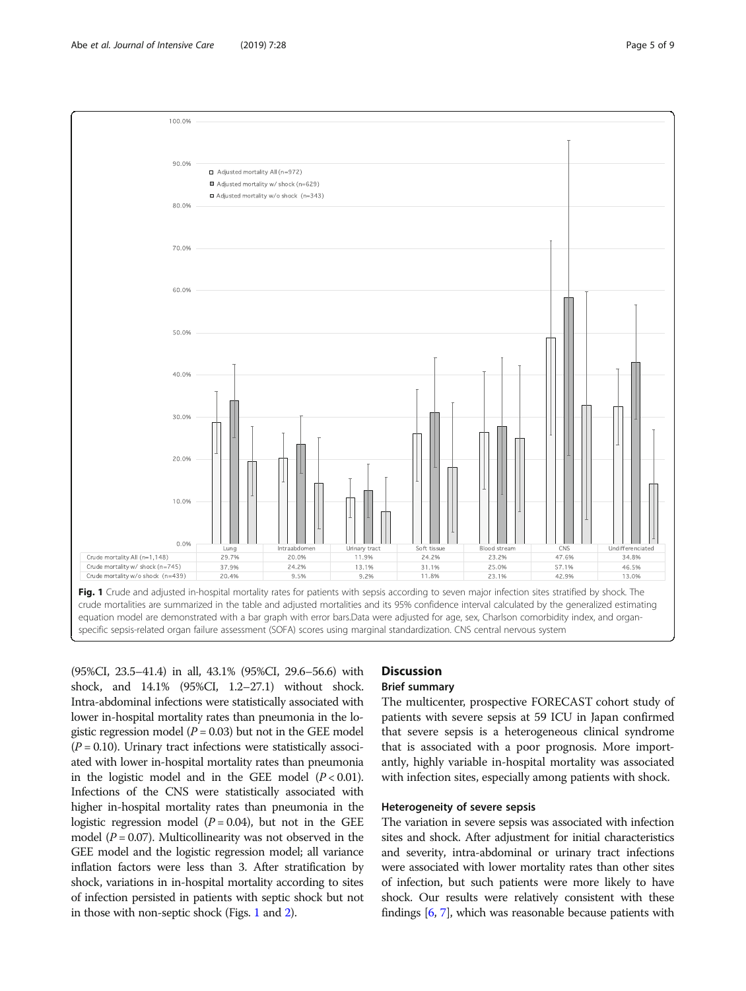<span id="page-4-0"></span>

(95%CI, 23.5–41.4) in all, 43.1% (95%CI, 29.6–56.6) with shock, and 14.1% (95%CI, 1.2–27.1) without shock. Intra-abdominal infections were statistically associated with lower in-hospital mortality rates than pneumonia in the logistic regression model ( $P = 0.03$ ) but not in the GEE model  $(P = 0.10)$ . Urinary tract infections were statistically associated with lower in-hospital mortality rates than pneumonia in the logistic model and in the GEE model  $(P < 0.01)$ . Infections of the CNS were statistically associated with higher in-hospital mortality rates than pneumonia in the logistic regression model  $(P = 0.04)$ , but not in the GEE model ( $P = 0.07$ ). Multicollinearity was not observed in the GEE model and the logistic regression model; all variance inflation factors were less than 3. After stratification by shock, variations in in-hospital mortality according to sites of infection persisted in patients with septic shock but not in those with non-septic shock (Figs. 1 and [2](#page-5-0)).

# **Discussion**

#### Brief summary

The multicenter, prospective FORECAST cohort study of patients with severe sepsis at 59 ICU in Japan confirmed that severe sepsis is a heterogeneous clinical syndrome that is associated with a poor prognosis. More importantly, highly variable in-hospital mortality was associated with infection sites, especially among patients with shock.

#### Heterogeneity of severe sepsis

The variation in severe sepsis was associated with infection sites and shock. After adjustment for initial characteristics and severity, intra-abdominal or urinary tract infections were associated with lower mortality rates than other sites of infection, but such patients were more likely to have shock. Our results were relatively consistent with these findings [\[6,](#page-8-0) [7](#page-8-0)], which was reasonable because patients with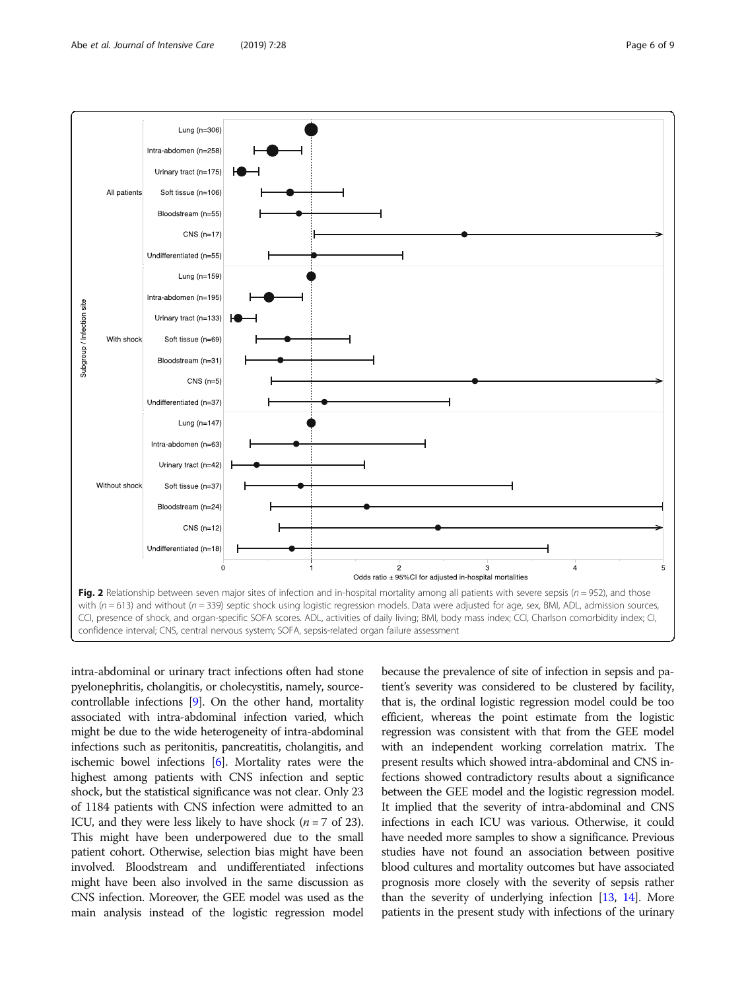<span id="page-5-0"></span>

intra-abdominal or urinary tract infections often had stone pyelonephritis, cholangitis, or cholecystitis, namely, sourcecontrollable infections [[9\]](#page-8-0). On the other hand, mortality associated with intra-abdominal infection varied, which might be due to the wide heterogeneity of intra-abdominal infections such as peritonitis, pancreatitis, cholangitis, and ischemic bowel infections [\[6\]](#page-8-0). Mortality rates were the highest among patients with CNS infection and septic shock, but the statistical significance was not clear. Only 23 of 1184 patients with CNS infection were admitted to an ICU, and they were less likely to have shock  $(n = 7 \text{ of } 23)$ . This might have been underpowered due to the small patient cohort. Otherwise, selection bias might have been involved. Bloodstream and undifferentiated infections might have been also involved in the same discussion as CNS infection. Moreover, the GEE model was used as the main analysis instead of the logistic regression model because the prevalence of site of infection in sepsis and patient's severity was considered to be clustered by facility, that is, the ordinal logistic regression model could be too efficient, whereas the point estimate from the logistic regression was consistent with that from the GEE model with an independent working correlation matrix. The present results which showed intra-abdominal and CNS infections showed contradictory results about a significance between the GEE model and the logistic regression model. It implied that the severity of intra-abdominal and CNS infections in each ICU was various. Otherwise, it could have needed more samples to show a significance. Previous studies have not found an association between positive blood cultures and mortality outcomes but have associated prognosis more closely with the severity of sepsis rather than the severity of underlying infection [\[13,](#page-8-0) [14\]](#page-8-0). More patients in the present study with infections of the urinary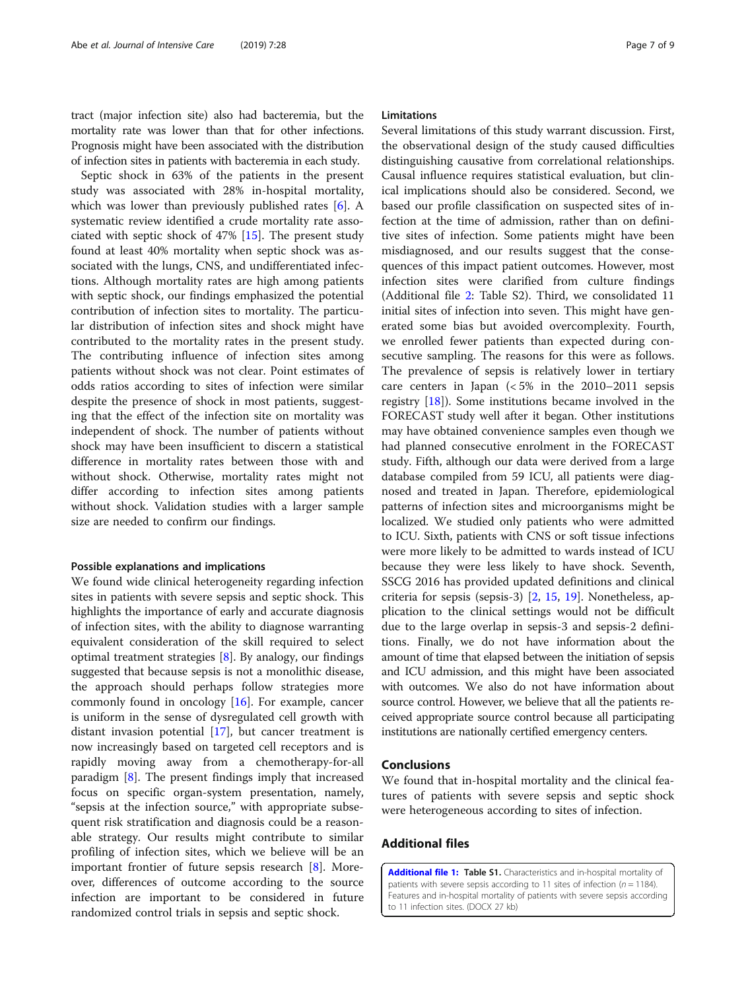<span id="page-6-0"></span>tract (major infection site) also had bacteremia, but the mortality rate was lower than that for other infections. Prognosis might have been associated with the distribution of infection sites in patients with bacteremia in each study.

Septic shock in 63% of the patients in the present study was associated with 28% in-hospital mortality, which was lower than previously published rates [\[6](#page-8-0)]. A systematic review identified a crude mortality rate associated with septic shock of 47% [[15\]](#page-8-0). The present study found at least 40% mortality when septic shock was associated with the lungs, CNS, and undifferentiated infections. Although mortality rates are high among patients with septic shock, our findings emphasized the potential contribution of infection sites to mortality. The particular distribution of infection sites and shock might have contributed to the mortality rates in the present study. The contributing influence of infection sites among patients without shock was not clear. Point estimates of odds ratios according to sites of infection were similar despite the presence of shock in most patients, suggesting that the effect of the infection site on mortality was independent of shock. The number of patients without shock may have been insufficient to discern a statistical difference in mortality rates between those with and without shock. Otherwise, mortality rates might not differ according to infection sites among patients without shock. Validation studies with a larger sample size are needed to confirm our findings.

#### Possible explanations and implications

We found wide clinical heterogeneity regarding infection sites in patients with severe sepsis and septic shock. This highlights the importance of early and accurate diagnosis of infection sites, with the ability to diagnose warranting equivalent consideration of the skill required to select optimal treatment strategies [\[8](#page-8-0)]. By analogy, our findings suggested that because sepsis is not a monolithic disease, the approach should perhaps follow strategies more commonly found in oncology [\[16](#page-8-0)]. For example, cancer is uniform in the sense of dysregulated cell growth with distant invasion potential [[17\]](#page-8-0), but cancer treatment is now increasingly based on targeted cell receptors and is rapidly moving away from a chemotherapy-for-all paradigm [[8\]](#page-8-0). The present findings imply that increased focus on specific organ-system presentation, namely, "sepsis at the infection source," with appropriate subsequent risk stratification and diagnosis could be a reasonable strategy. Our results might contribute to similar profiling of infection sites, which we believe will be an important frontier of future sepsis research [[8\]](#page-8-0). Moreover, differences of outcome according to the source infection are important to be considered in future randomized control trials in sepsis and septic shock.

#### Limitations

Several limitations of this study warrant discussion. First, the observational design of the study caused difficulties distinguishing causative from correlational relationships. Causal influence requires statistical evaluation, but clinical implications should also be considered. Second, we based our profile classification on suspected sites of infection at the time of admission, rather than on definitive sites of infection. Some patients might have been misdiagnosed, and our results suggest that the consequences of this impact patient outcomes. However, most infection sites were clarified from culture findings (Additional file [2:](#page-7-0) Table S2). Third, we consolidated 11 initial sites of infection into seven. This might have generated some bias but avoided overcomplexity. Fourth, we enrolled fewer patients than expected during consecutive sampling. The reasons for this were as follows. The prevalence of sepsis is relatively lower in tertiary care centers in Japan  $\left( < 5\% \right)$  in the 2010–2011 sepsis registry [\[18\]](#page-8-0)). Some institutions became involved in the FORECAST study well after it began. Other institutions may have obtained convenience samples even though we had planned consecutive enrolment in the FORECAST study. Fifth, although our data were derived from a large database compiled from 59 ICU, all patients were diagnosed and treated in Japan. Therefore, epidemiological patterns of infection sites and microorganisms might be localized. We studied only patients who were admitted to ICU. Sixth, patients with CNS or soft tissue infections were more likely to be admitted to wards instead of ICU because they were less likely to have shock. Seventh, SSCG 2016 has provided updated definitions and clinical criteria for sepsis (sepsis-3) [[2,](#page-8-0) [15](#page-8-0), [19\]](#page-8-0). Nonetheless, application to the clinical settings would not be difficult due to the large overlap in sepsis-3 and sepsis-2 definitions. Finally, we do not have information about the amount of time that elapsed between the initiation of sepsis and ICU admission, and this might have been associated with outcomes. We also do not have information about source control. However, we believe that all the patients received appropriate source control because all participating institutions are nationally certified emergency centers.

#### Conclusions

We found that in-hospital mortality and the clinical features of patients with severe sepsis and septic shock were heterogeneous according to sites of infection.

#### Additional files

[Additional file 1:](https://doi.org/10.1186/s40560-019-0383-3) Table S1. Characteristics and in-hospital mortality of patients with severe sepsis according to 11 sites of infection ( $n = 1184$ ). Features and in-hospital mortality of patients with severe sepsis according to 11 infection sites. (DOCX 27 kb)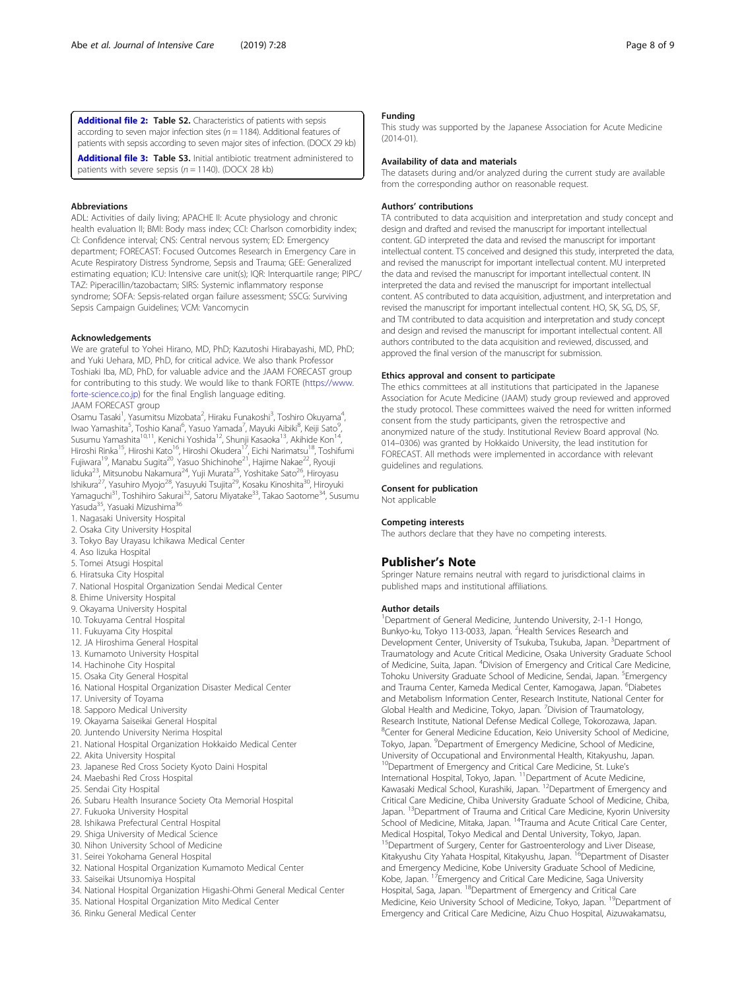<span id="page-7-0"></span>[Additional file 2:](https://doi.org/10.1186/s40560-019-0383-3) Table S2. Characteristics of patients with sepsis according to seven major infection sites ( $n = 1184$ ). Additional features of patients with sepsis according to seven major sites of infection. (DOCX 29 kb)

[Additional file 3:](https://doi.org/10.1186/s40560-019-0383-3) Table S3. Initial antibiotic treatment administered to patients with severe sepsis ( $n = 1140$ ). (DOCX 28 kb)

#### Abbreviations

ADL: Activities of daily living; APACHE II: Acute physiology and chronic health evaluation II; BMI: Body mass index; CCI: Charlson comorbidity index; CI: Confidence interval; CNS: Central nervous system; ED: Emergency department; FORECAST: Focused Outcomes Research in Emergency Care in Acute Respiratory Distress Syndrome, Sepsis and Trauma; GEE: Generalized estimating equation; ICU: Intensive care unit(s); IQR: Interquartile range; PIPC/ TAZ: Piperacillin/tazobactam; SIRS: Systemic inflammatory response syndrome; SOFA: Sepsis-related organ failure assessment; SSCG: Surviving Sepsis Campaign Guidelines; VCM: Vancomycin

#### Acknowledgements

We are grateful to Yohei Hirano, MD, PhD; Kazutoshi Hirabayashi, MD, PhD; and Yuki Uehara, MD, PhD, for critical advice. We also thank Professor Toshiaki Iba, MD, PhD, for valuable advice and the JAAM FORECAST group for contributing to this study. We would like to thank FORTE ([https://www.](https://www.forte-science.co.jp) [forte-science.co.jp](https://www.forte-science.co.jp)) for the final English language editing.

### JAAM FORECAST group

Osamu Tasaki<sup>1</sup>, Yasumitsu Mizobata<sup>2</sup>, Hiraku Funakoshi<sup>3</sup>, Toshiro Okuyama<sup>4</sup> , lwao Yamashita<sup>5</sup>, Toshio Kanai<sup>6</sup>, Yasuo Yamada<sup>7</sup>, Mayuki Aibiki<sup>8</sup>, Keiji Sato<sup>9</sup> , Susumu Yamashita<sup>10,11</sup>, Kenichi Yoshida<sup>12</sup>, Shunji Kasaoka<sup>13</sup>, Akihide Kon<sup>14</sup> Hiroshi Rinka<sup>15</sup>, Hiroshi Kato<sup>16</sup>, Hiroshi Okudera<sup>17</sup>, Eichi Narimatsu<sup>18</sup>, Toshifumi Fujiwara<sup>19</sup>, Manabu Sugita<sup>20</sup>, Yasuo Shichinohe<sup>21</sup>, Hajime Nakae<sup>22</sup>, Ryouji Iiduka<sup>23</sup>, Mitsunobu Nakamura<sup>24</sup>, Yuji Murata<sup>25</sup>, Yoshitake Sato<sup>26</sup>, Hiroyasu Ishikura<sup>27</sup>, Yasuhiro Myojo<sup>28</sup>, Yasuyuki Tsujita<sup>29</sup>, Kosaku Kinoshita<sup>30</sup>, Hiroyuki Yamaguchi<sup>31</sup>, Toshihiro Sakurai<sup>32</sup>, Satoru Miyatake<sup>33</sup>, Takao Saotome<sup>34</sup>, Susumu Yasuda<sup>35</sup>, Yasuaki Mizushima<sup>36</sup>

- 1. Nagasaki University Hospital
- 2. Osaka City University Hospital
- 3. Tokyo Bay Urayasu Ichikawa Medical Center
- 4. Aso Iizuka Hospital
- 5. Tomei Atsugi Hospital
- 6. Hiratsuka City Hospital
- 7. National Hospital Organization Sendai Medical Center
- 8. Ehime University Hospital
- 9. Okayama University Hospital
- 10. Tokuyama Central Hospital
- 11. Fukuyama City Hospital
- 12. JA Hiroshima General Hospital
- 13. Kumamoto University Hospital
- 14. Hachinohe City Hospital
- 15. Osaka City General Hospital
- 16. National Hospital Organization Disaster Medical Center
- 17. University of Toyama
- 18. Sapporo Medical University
- 19. Okayama Saiseikai General Hospital
- 20. Juntendo University Nerima Hospital
- 21. National Hospital Organization Hokkaido Medical Center
- 22. Akita University Hospital
- 23. Japanese Red Cross Society Kyoto Daini Hospital
- 24. Maebashi Red Cross Hospital
- 25. Sendai City Hospital
- 26. Subaru Health Insurance Society Ota Memorial Hospital
- 27. Fukuoka University Hospital
- 28. Ishikawa Prefectural Central Hospital
- 29. Shiga University of Medical Science
- 30. Nihon University School of Medicine
- 31. Seirei Yokohama General Hospital
- 32. National Hospital Organization Kumamoto Medical Center
- 33. Saiseikai Utsunomiya Hospital
- 34. National Hospital Organization Higashi-Ohmi General Medical Center
- 35. National Hospital Organization Mito Medical Center
- 36. Rinku General Medical Center

#### Funding

This study was supported by the Japanese Association for Acute Medicine (2014-01).

#### Availability of data and materials

The datasets during and/or analyzed during the current study are available from the corresponding author on reasonable request.

#### Authors' contributions

TA contributed to data acquisition and interpretation and study concept and design and drafted and revised the manuscript for important intellectual content. GD interpreted the data and revised the manuscript for important intellectual content. TS conceived and designed this study, interpreted the data, and revised the manuscript for important intellectual content. MU interpreted the data and revised the manuscript for important intellectual content. IN interpreted the data and revised the manuscript for important intellectual content. AS contributed to data acquisition, adjustment, and interpretation and revised the manuscript for important intellectual content. HO, SK, SG, DS, SF, and TM contributed to data acquisition and interpretation and study concept and design and revised the manuscript for important intellectual content. All authors contributed to the data acquisition and reviewed, discussed, and approved the final version of the manuscript for submission.

#### Ethics approval and consent to participate

The ethics committees at all institutions that participated in the Japanese Association for Acute Medicine (JAAM) study group reviewed and approved the study protocol. These committees waived the need for written informed consent from the study participants, given the retrospective and anonymized nature of the study. Institutional Review Board approval (No. 014–0306) was granted by Hokkaido University, the lead institution for FORECAST. All methods were implemented in accordance with relevant guidelines and regulations.

#### Consent for publication

Not applicable

#### Competing interests

The authors declare that they have no competing interests.

#### Publisher's Note

Springer Nature remains neutral with regard to jurisdictional claims in published maps and institutional affiliations.

#### Author details

<sup>1</sup>Department of General Medicine, Juntendo University, 2-1-1 Hongo Bunkyo-ku, Tokyo 113-0033, Japan. <sup>2</sup> Health Services Research and Development Center, University of Tsukuba, Tsukuba, Japan. <sup>3</sup>Department of Traumatology and Acute Critical Medicine, Osaka University Graduate School of Medicine, Suita, Japan. <sup>4</sup>Division of Emergency and Critical Care Medicine Tohoku University Graduate School of Medicine, Sendai, Japan. <sup>5</sup>Emergency and Trauma Center, Kameda Medical Center, Kamogawa, Japan. <sup>6</sup>Diabetes and Metabolism Information Center, Research Institute, National Center for Global Health and Medicine, Tokyo, Japan. <sup>7</sup>Division of Traumatology Research Institute, National Defense Medical College, Tokorozawa, Japan. 8 Center for General Medicine Education, Keio University School of Medicine, Tokyo, Japan. <sup>9</sup>Department of Emergency Medicine, School of Medicine University of Occupational and Environmental Health, Kitakyushu, Japan. <sup>10</sup>Department of Emergency and Critical Care Medicine, St. Luke's International Hospital, Tokyo, Japan. <sup>11</sup> Department of Acute Medicine, Kawasaki Medical School, Kurashiki, Japan. <sup>12</sup>Department of Emergency and Critical Care Medicine, Chiba University Graduate School of Medicine, Chiba, Japan. <sup>13</sup>Department of Trauma and Critical Care Medicine, Kyorin University School of Medicine, Mitaka, Japan. <sup>14</sup>Trauma and Acute Critical Care Center, Medical Hospital, Tokyo Medical and Dental University, Tokyo, Japan. <sup>15</sup>Department of Surgery, Center for Gastroenterology and Liver Disease Kitakyushu City Yahata Hospital, Kitakyushu, Japan. <sup>16</sup>Department of Disaster and Emergency Medicine, Kobe University Graduate School of Medicine, Kobe, Japan. <sup>17</sup>Emergency and Critical Care Medicine, Saga University Hospital, Saga, Japan. 18Department of Emergency and Critical Care Medicine, Keio University School of Medicine, Tokyo, Japan. <sup>19</sup>Department of Emergency and Critical Care Medicine, Aizu Chuo Hospital, Aizuwakamatsu,